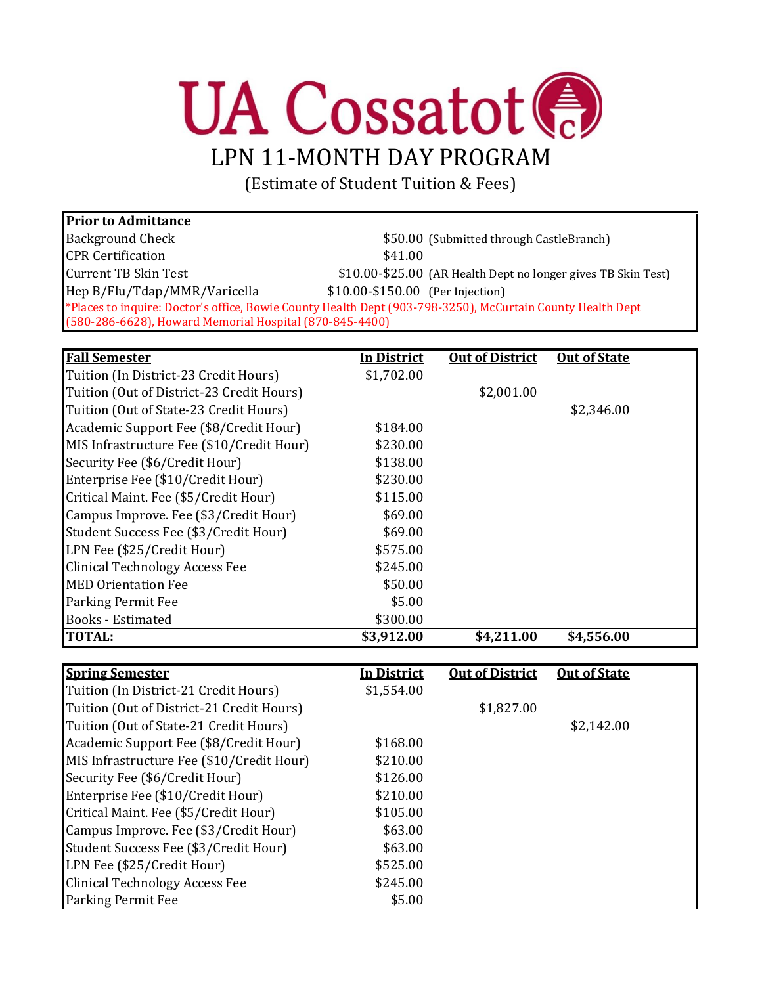

(Estimate of Student Tuition & Fees)

| <b>Prior to Admittance</b>                                                                                 |                                  |                                                               |
|------------------------------------------------------------------------------------------------------------|----------------------------------|---------------------------------------------------------------|
| <b>Background Check</b>                                                                                    |                                  | \$50.00 (Submitted through CastleBranch)                      |
| <b>CPR Certification</b>                                                                                   | \$41.00                          |                                                               |
| <b>Current TB Skin Test</b>                                                                                |                                  | \$10.00-\$25.00 (AR Health Dept no longer gives TB Skin Test) |
| Hep B/Flu/Tdap/MMR/Varicella                                                                               | \$10.00-\$150.00 (Per Injection) |                                                               |
| *Places to inquire: Doctor's office, Bowie County Health Dept (903-798-3250), McCurtain County Health Dept |                                  |                                                               |
| (580-286-6628), Howard Memorial Hospital (870-845-4400)                                                    |                                  |                                                               |

| <b>Fall Semester</b>                      | <u>In District</u> | <b>Out of District</b> | <b>Out of State</b> |
|-------------------------------------------|--------------------|------------------------|---------------------|
| Tuition (In District-23 Credit Hours)     | \$1,702.00         |                        |                     |
| Tuition (Out of District-23 Credit Hours) |                    | \$2,001.00             |                     |
| Tuition (Out of State-23 Credit Hours)    |                    |                        | \$2,346.00          |
| Academic Support Fee (\$8/Credit Hour)    | \$184.00           |                        |                     |
| MIS Infrastructure Fee (\$10/Credit Hour) | \$230.00           |                        |                     |
| Security Fee (\$6/Credit Hour)            | \$138.00           |                        |                     |
| Enterprise Fee (\$10/Credit Hour)         | \$230.00           |                        |                     |
| Critical Maint. Fee (\$5/Credit Hour)     | \$115.00           |                        |                     |
| Campus Improve. Fee (\$3/Credit Hour)     | \$69.00            |                        |                     |
| Student Success Fee (\$3/Credit Hour)     | \$69.00            |                        |                     |
| LPN Fee (\$25/Credit Hour)                | \$575.00           |                        |                     |
| <b>Clinical Technology Access Fee</b>     | \$245.00           |                        |                     |
| <b>MED Orientation Fee</b>                | \$50.00            |                        |                     |
| <b>Parking Permit Fee</b>                 | \$5.00             |                        |                     |
| <b>Books</b> - Estimated                  | \$300.00           |                        |                     |
| <b>TOTAL:</b>                             | \$3,912.00         | \$4,211.00             | \$4,556.00          |

| <b>Spring Semester</b>                    | <b>In District</b> | <b>Out of District</b> | <b>Out of State</b> |
|-------------------------------------------|--------------------|------------------------|---------------------|
| Tuition (In District-21 Credit Hours)     | \$1,554.00         |                        |                     |
| Tuition (Out of District-21 Credit Hours) |                    | \$1,827.00             |                     |
| Tuition (Out of State-21 Credit Hours)    |                    |                        | \$2,142.00          |
| Academic Support Fee (\$8/Credit Hour)    | \$168.00           |                        |                     |
| MIS Infrastructure Fee (\$10/Credit Hour) | \$210.00           |                        |                     |
| Security Fee (\$6/Credit Hour)            | \$126.00           |                        |                     |
| Enterprise Fee (\$10/Credit Hour)         | \$210.00           |                        |                     |
| Critical Maint. Fee (\$5/Credit Hour)     | \$105.00           |                        |                     |
| Campus Improve. Fee (\$3/Credit Hour)     | \$63.00            |                        |                     |
| Student Success Fee (\$3/Credit Hour)     | \$63.00            |                        |                     |
| LPN Fee (\$25/Credit Hour)                | \$525.00           |                        |                     |
| <b>Clinical Technology Access Fee</b>     | \$245.00           |                        |                     |
| <b>Parking Permit Fee</b>                 | \$5.00             |                        |                     |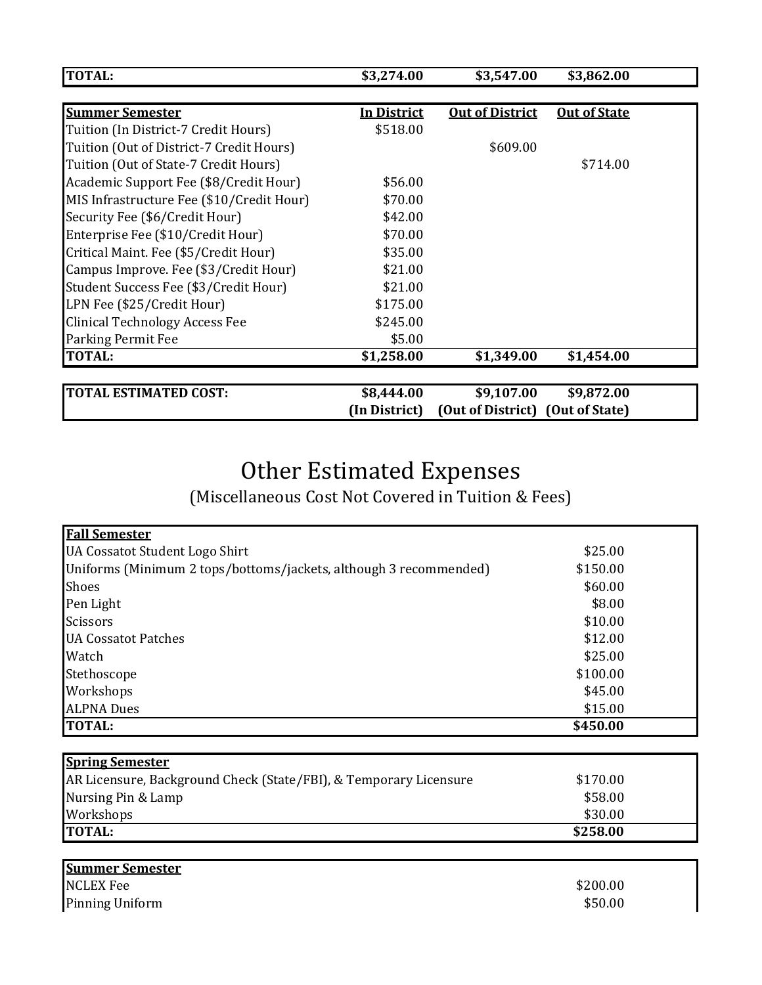| <b>TOTAL:</b>                             | \$3,274.00    | \$3,547.00             | \$3,862.00          |  |
|-------------------------------------------|---------------|------------------------|---------------------|--|
|                                           |               |                        |                     |  |
| <b>Summer Semester</b>                    | In District   | <b>Out of District</b> | <b>Out of State</b> |  |
| Tuition (In District-7 Credit Hours)      | \$518.00      |                        |                     |  |
| Tuition (Out of District-7 Credit Hours)  |               | \$609.00               |                     |  |
| Tuition (Out of State-7 Credit Hours)     |               |                        | \$714.00            |  |
| Academic Support Fee (\$8/Credit Hour)    | \$56.00       |                        |                     |  |
| MIS Infrastructure Fee (\$10/Credit Hour) | \$70.00       |                        |                     |  |
| Security Fee (\$6/Credit Hour)            | \$42.00       |                        |                     |  |
| Enterprise Fee (\$10/Credit Hour)         | \$70.00       |                        |                     |  |
| Critical Maint. Fee (\$5/Credit Hour)     | \$35.00       |                        |                     |  |
| Campus Improve. Fee (\$3/Credit Hour)     | \$21.00       |                        |                     |  |
| Student Success Fee (\$3/Credit Hour)     | \$21.00       |                        |                     |  |
| LPN Fee (\$25/Credit Hour)                | \$175.00      |                        |                     |  |
| <b>Clinical Technology Access Fee</b>     | \$245.00      |                        |                     |  |
| Parking Permit Fee                        | \$5.00        |                        |                     |  |
| <b>TOTAL:</b>                             | \$1,258.00    | \$1,349.00             | \$1,454.00          |  |
| <b>TOTAL ESTIMATED COST:</b>              | \$8,444.00    | \$9,107.00             | \$9,872.00          |  |
|                                           | (In District) | (Out of District)      | (Out of State)      |  |

## Other Estimated Expenses

(Miscellaneous Cost Not Covered in Tuition & Fees)

| <b>Fall Semester</b>                                              |          |  |
|-------------------------------------------------------------------|----------|--|
| UA Cossatot Student Logo Shirt                                    | \$25.00  |  |
| Uniforms (Minimum 2 tops/bottoms/jackets, although 3 recommended) | \$150.00 |  |
| Shoes                                                             | \$60.00  |  |
| Pen Light                                                         | \$8.00   |  |
| <b>Scissors</b>                                                   | \$10.00  |  |
| <b>UA Cossatot Patches</b>                                        | \$12.00  |  |
| Watch                                                             | \$25.00  |  |
| Stethoscope                                                       | \$100.00 |  |
| Workshops                                                         | \$45.00  |  |
| <b>ALPNA Dues</b>                                                 | \$15.00  |  |
| <b>TOTAL:</b>                                                     | \$450.00 |  |
|                                                                   |          |  |
| <b>Spring Semester</b>                                            |          |  |
| AR Licensure, Background Check (State/FBI), & Temporary Licensure | \$170.00 |  |
| Nursing Pin & Lamp                                                | \$58.00  |  |
| Workshops                                                         | \$30.00  |  |
| <b>TOTAL:</b>                                                     | \$258.00 |  |
|                                                                   |          |  |

| <b>Summer Semester</b> |          |
|------------------------|----------|
| <b>NCLEX Fee</b>       | \$200.00 |
| <b>Pinning Uniform</b> | \$50.00  |